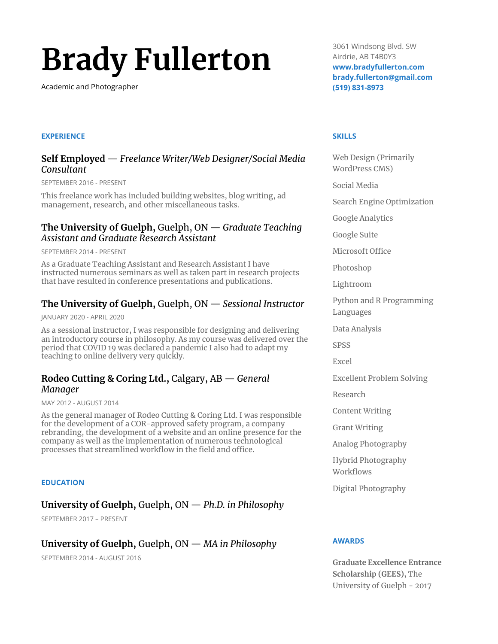# **Brady Fullerton**

Academic and Photographer

### **EXPERIENCE**

## **Self Employed** — *Freelance Writer/Web Designer/Social Media Consultant*

SEPTEMBER 2016 - PRESENT

This freelance work has included building websites, blog writing, ad management, research, and other miscellaneous tasks.

## **The University of Guelph,** Guelph, ON — *Graduate Teaching Assistant and Graduate Research Assistant*

SEPTEMBER 2014 - PRESENT

As a Graduate Teaching Assistant and Research Assistant I have instructed numerous seminars as well as taken part in research projects that have resulted in conference presentations and publications.

# **The University of Guelph,** Guelph, ON — *Sessional Instructor*

JANUARY 2020 - APRIL 2020

As a sessional instructor, I was responsible for designing and delivering an introductory course in philosophy. As my course was delivered over the period that COVID 19 was declared a pandemic I also had to adapt my teaching to online delivery very quickly.

# **Rodeo Cutting & Coring Ltd.,** Calgary, AB — *General Manager*

MAY 2012 - AUGUST 2014

As the general manager of Rodeo Cutting & Coring Ltd. I was responsible for the development of a COR-approved safety program, a company rebranding, the development of a website and an online presence for the company as well as the implementation of numerous technological processes that streamlined workflow in the field and office.

#### **EDUCATION**

# **University of Guelph,** Guelph, ON — *Ph.D. in Philosophy*

SEPTEMBER 2017 – PRESENT

# **University of Guelph,** Guelph, ON — *MA in Philosophy*

SEPTEMBER 2014 - AUGUST 2016

3061 Windsong Blvd. SW Airdrie, AB T4B0Y3 **www.bradyfullerton.com brady.fullerton@gmail.com (519) 831-8973**

#### **SKILLS**

Web Design (Primarily WordPress CMS) Social Media Search Engine Optimization Google Analytics Google Suite Microsoft Office Photoshop Lightroom Python and R Programming Languages Data Analysis SPSS Excel Excellent Problem Solving Research Content Writing Grant Writing Analog Photography Hybrid Photography Workflows Digital Photography

## **AWARDS**

**Graduate Excellence Entrance Scholarship (GEES),** The University of Guelph - 2017